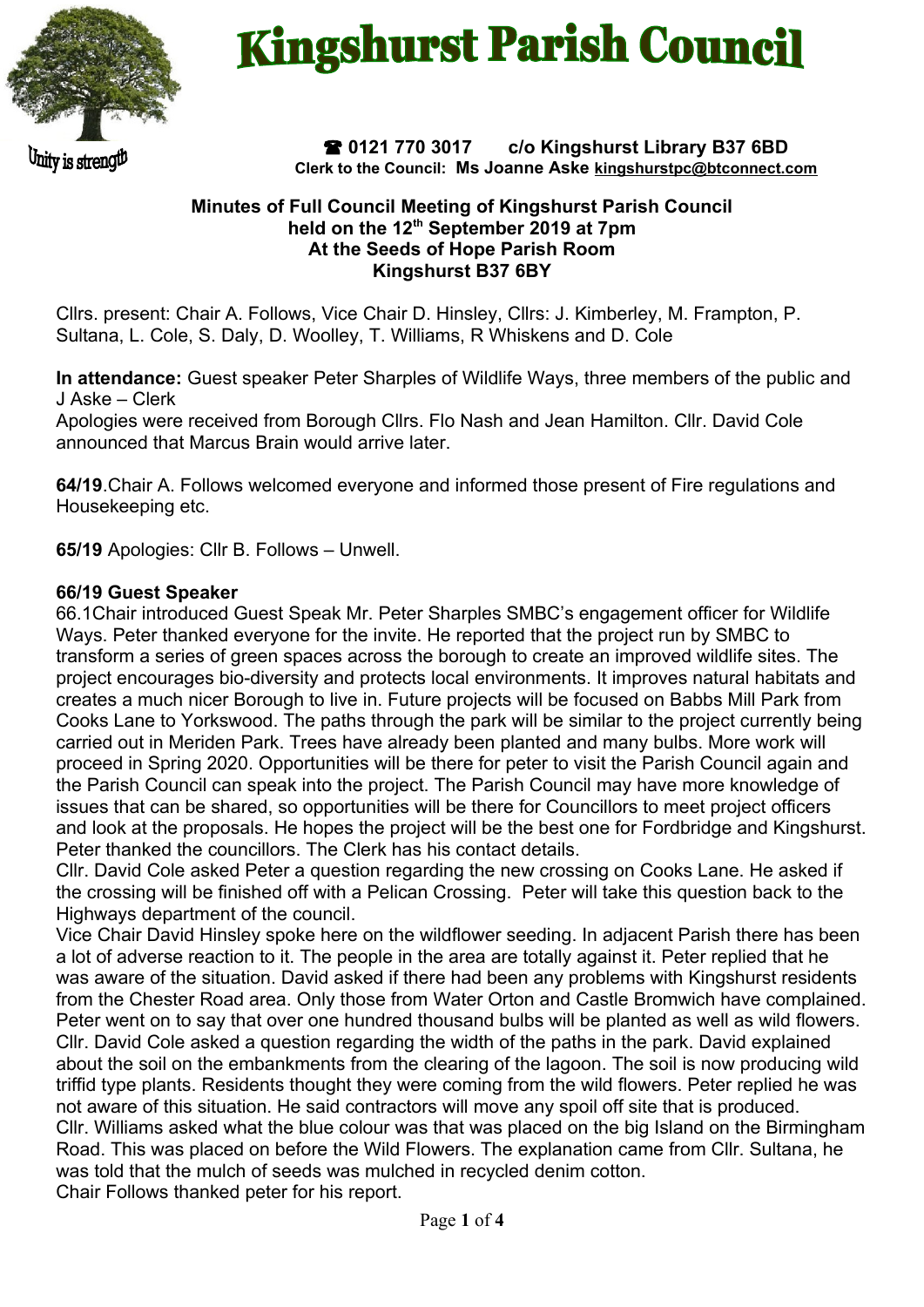

Unity is strength

# **Kingshurst Parish Council**

 **0121 770 3017 c/o Kingshurst Library B37 6BD Clerk to the Council: Ms Joanne Aske [kingshurstpc@btconnect.com](mailto:kingshurstpc@btconnect.com)**

#### **Minutes of Full Council Meeting of Kingshurst Parish Council held on the 12th September 2019 at 7pm At the Seeds of Hope Parish Room Kingshurst B37 6BY**

Cllrs. present: Chair A. Follows, Vice Chair D. Hinsley, Cllrs: J. Kimberley, M. Frampton, P. Sultana, L. Cole, S. Daly, D. Woolley, T. Williams, R Whiskens and D. Cole

**In attendance:** Guest speaker Peter Sharples of Wildlife Ways, three members of the public and J Aske – Clerk

Apologies were received from Borough Cllrs. Flo Nash and Jean Hamilton. Cllr. David Cole announced that Marcus Brain would arrive later.

**64/19**.Chair A. Follows welcomed everyone and informed those present of Fire regulations and Housekeeping etc.

**65/19** Apologies: Cllr B. Follows – Unwell.

## **66/19 Guest Speaker**

66.1Chair introduced Guest Speak Mr. Peter Sharples SMBC's engagement officer for Wildlife Ways. Peter thanked everyone for the invite. He reported that the project run by SMBC to transform a series of green spaces across the borough to create an improved wildlife sites. The project encourages bio-diversity and protects local environments. It improves natural habitats and creates a much nicer Borough to live in. Future projects will be focused on Babbs Mill Park from Cooks Lane to Yorkswood. The paths through the park will be similar to the project currently being carried out in Meriden Park. Trees have already been planted and many bulbs. More work will proceed in Spring 2020. Opportunities will be there for peter to visit the Parish Council again and the Parish Council can speak into the project. The Parish Council may have more knowledge of issues that can be shared, so opportunities will be there for Councillors to meet project officers and look at the proposals. He hopes the project will be the best one for Fordbridge and Kingshurst. Peter thanked the councillors. The Clerk has his contact details.

Cllr. David Cole asked Peter a question regarding the new crossing on Cooks Lane. He asked if the crossing will be finished off with a Pelican Crossing. Peter will take this question back to the Highways department of the council.

Vice Chair David Hinsley spoke here on the wildflower seeding. In adjacent Parish there has been a lot of adverse reaction to it. The people in the area are totally against it. Peter replied that he was aware of the situation. David asked if there had been any problems with Kingshurst residents from the Chester Road area. Only those from Water Orton and Castle Bromwich have complained. Peter went on to say that over one hundred thousand bulbs will be planted as well as wild flowers. Cllr. David Cole asked a question regarding the width of the paths in the park. David explained about the soil on the embankments from the clearing of the lagoon. The soil is now producing wild triffid type plants. Residents thought they were coming from the wild flowers. Peter replied he was not aware of this situation. He said contractors will move any spoil off site that is produced. Cllr. Williams asked what the blue colour was that was placed on the big Island on the Birmingham Road. This was placed on before the Wild Flowers. The explanation came from Cllr. Sultana, he was told that the mulch of seeds was mulched in recycled denim cotton. Chair Follows thanked peter for his report.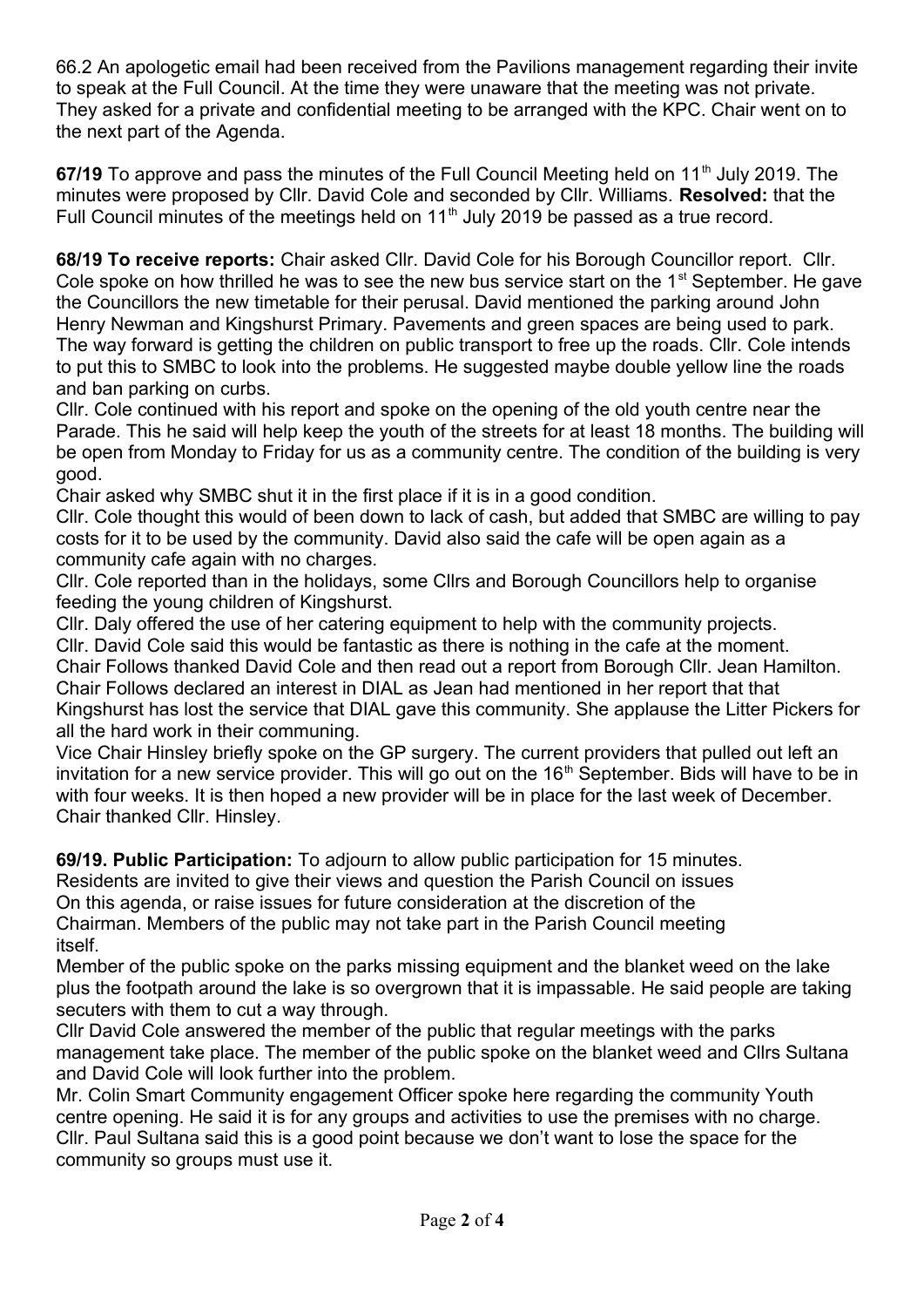66.2 An apologetic email had been received from the Pavilions management regarding their invite to speak at the Full Council. At the time they were unaware that the meeting was not private. They asked for a private and confidential meeting to be arranged with the KPC. Chair went on to the next part of the Agenda.

67/19 To approve and pass the minutes of the Full Council Meeting held on 11<sup>th</sup> July 2019. The minutes were proposed by Cllr. David Cole and seconded by Cllr. Williams. **Resolved:** that the Full Council minutes of the meetings held on  $11<sup>th</sup>$  July 2019 be passed as a true record.

**68/19 To receive reports:** Chair asked Cllr. David Cole for his Borough Councillor report. Cllr. Cole spoke on how thrilled he was to see the new bus service start on the 1<sup>st</sup> September. He gave the Councillors the new timetable for their perusal. David mentioned the parking around John Henry Newman and Kingshurst Primary. Pavements and green spaces are being used to park. The way forward is getting the children on public transport to free up the roads. Cllr. Cole intends to put this to SMBC to look into the problems. He suggested maybe double yellow line the roads and ban parking on curbs.

Cllr. Cole continued with his report and spoke on the opening of the old youth centre near the Parade. This he said will help keep the youth of the streets for at least 18 months. The building will be open from Monday to Friday for us as a community centre. The condition of the building is very good.

Chair asked why SMBC shut it in the first place if it is in a good condition.

Cllr. Cole thought this would of been down to lack of cash, but added that SMBC are willing to pay costs for it to be used by the community. David also said the cafe will be open again as a community cafe again with no charges.

Cllr. Cole reported than in the holidays, some Cllrs and Borough Councillors help to organise feeding the young children of Kingshurst.

Cllr. Daly offered the use of her catering equipment to help with the community projects.

Cllr. David Cole said this would be fantastic as there is nothing in the cafe at the moment.

Chair Follows thanked David Cole and then read out a report from Borough Cllr. Jean Hamilton. Chair Follows declared an interest in DIAL as Jean had mentioned in her report that that Kingshurst has lost the service that DIAL gave this community. She applause the Litter Pickers for all the hard work in their communing.

Vice Chair Hinsley briefly spoke on the GP surgery. The current providers that pulled out left an invitation for a new service provider. This will go out on the  $16<sup>th</sup>$  September. Bids will have to be in with four weeks. It is then hoped a new provider will be in place for the last week of December. Chair thanked Cllr. Hinsley.

**69/19. Public Participation:** To adjourn to allow public participation for 15 minutes.

Residents are invited to give their views and question the Parish Council on issues

On this agenda, or raise issues for future consideration at the discretion of the

Chairman. Members of the public may not take part in the Parish Council meeting itself.

Member of the public spoke on the parks missing equipment and the blanket weed on the lake plus the footpath around the lake is so overgrown that it is impassable. He said people are taking secuters with them to cut a way through.

Cllr David Cole answered the member of the public that regular meetings with the parks management take place. The member of the public spoke on the blanket weed and Cllrs Sultana and David Cole will look further into the problem.

Mr. Colin Smart Community engagement Officer spoke here regarding the community Youth centre opening. He said it is for any groups and activities to use the premises with no charge. Cllr. Paul Sultana said this is a good point because we don't want to lose the space for the community so groups must use it.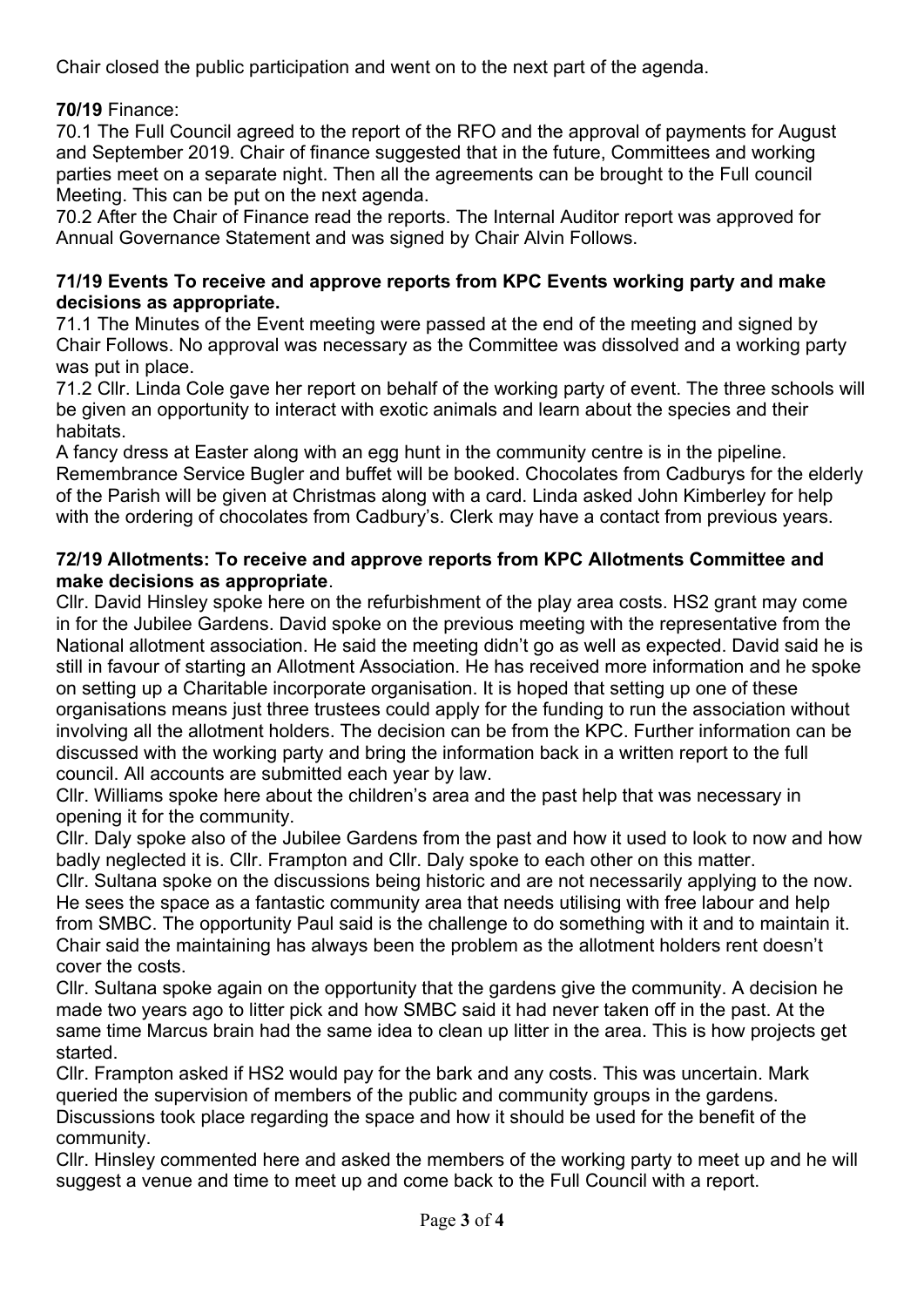Chair closed the public participation and went on to the next part of the agenda.

**70/19** Finance:

70.1 The Full Council agreed to the report of the RFO and the approval of payments for August and September 2019. Chair of finance suggested that in the future, Committees and working parties meet on a separate night. Then all the agreements can be brought to the Full council Meeting. This can be put on the next agenda.

70.2 After the Chair of Finance read the reports. The Internal Auditor report was approved for Annual Governance Statement and was signed by Chair Alvin Follows.

#### **71/19 Events To receive and approve reports from KPC Events working party and make decisions as appropriate.**

71.1 The Minutes of the Event meeting were passed at the end of the meeting and signed by Chair Follows. No approval was necessary as the Committee was dissolved and a working party was put in place.

71.2 Cllr. Linda Cole gave her report on behalf of the working party of event. The three schools will be given an opportunity to interact with exotic animals and learn about the species and their habitats.

A fancy dress at Easter along with an egg hunt in the community centre is in the pipeline. Remembrance Service Bugler and buffet will be booked. Chocolates from Cadburys for the elderly of the Parish will be given at Christmas along with a card. Linda asked John Kimberley for help with the ordering of chocolates from Cadbury's. Clerk may have a contact from previous years.

## **72/19 Allotments: To receive and approve reports from KPC Allotments Committee and make decisions as appropriate**.

Cllr. David Hinsley spoke here on the refurbishment of the play area costs. HS2 grant may come in for the Jubilee Gardens. David spoke on the previous meeting with the representative from the National allotment association. He said the meeting didn't go as well as expected. David said he is still in favour of starting an Allotment Association. He has received more information and he spoke on setting up a Charitable incorporate organisation. It is hoped that setting up one of these organisations means just three trustees could apply for the funding to run the association without involving all the allotment holders. The decision can be from the KPC. Further information can be discussed with the working party and bring the information back in a written report to the full council. All accounts are submitted each year by law.

Cllr. Williams spoke here about the children's area and the past help that was necessary in opening it for the community.

Cllr. Daly spoke also of the Jubilee Gardens from the past and how it used to look to now and how badly neglected it is. Cllr. Frampton and Cllr. Daly spoke to each other on this matter.

Cllr. Sultana spoke on the discussions being historic and are not necessarily applying to the now. He sees the space as a fantastic community area that needs utilising with free labour and help from SMBC. The opportunity Paul said is the challenge to do something with it and to maintain it. Chair said the maintaining has always been the problem as the allotment holders rent doesn't cover the costs.

Cllr. Sultana spoke again on the opportunity that the gardens give the community. A decision he made two years ago to litter pick and how SMBC said it had never taken off in the past. At the same time Marcus brain had the same idea to clean up litter in the area. This is how projects get started.

Cllr. Frampton asked if HS2 would pay for the bark and any costs. This was uncertain. Mark queried the supervision of members of the public and community groups in the gardens. Discussions took place regarding the space and how it should be used for the benefit of the community.

Cllr. Hinsley commented here and asked the members of the working party to meet up and he will suggest a venue and time to meet up and come back to the Full Council with a report.